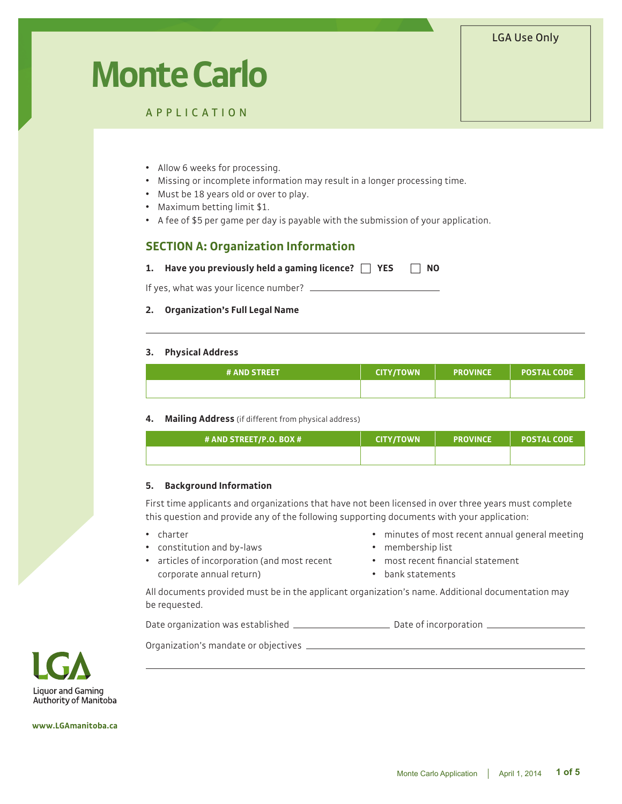# LGA Use Only

# **Monte Carlo**

APPLICATION

- Allow 6 weeks for processing.
- Missing or incomplete information may result in a longer processing time.
- Must be 18 years old or over to play.
- Maximum betting limit \$1.
- A fee of \$5 per game per day is payable with the submission of your application.

# **SECTION A: Organization Information**

**1.** Have you previously held a gaming licence?  $\Box$  YES  $\Box$  NO

If yes, what was your licence number? \_\_\_\_\_

#### **2. Organization's Full Legal Name**

#### **3. Physical Address**

| <b># AND STREET</b> | CITY/TOWN | <b>ROVINCE</b> | <b>POSTAL CODE</b> ' |
|---------------------|-----------|----------------|----------------------|
|                     |           |                |                      |

## **4. Mailing Address** (if different from physical address)

| # AND STREET/P.O. BOX # | LCITY/TOWN ! | <b>PROVINCE</b> | <b>POSTAL CODE</b> |
|-------------------------|--------------|-----------------|--------------------|
|                         |              |                 |                    |

## **5. Background Information**

First time applicants and organizations that have not been licensed in over three years must complete this question and provide any of the following supporting documents with your application:

- charter
- constitution and by-laws
- minutes of most recent annual general meeting • membership list
- articles of incorporation (and most recent corporate annual return)
- $•$  most recent financial statement
- bank statements

All documents provided must be in the applicant organization's name. Additional documentation may be requested.

Date organization was established \_\_\_\_\_\_\_\_\_\_\_\_\_\_\_\_\_\_\_\_\_\_\_\_\_\_ Date of incorporation \_\_\_\_\_\_\_\_\_\_\_\_\_\_\_\_\_\_\_\_\_\_\_\_\_\_\_

Organization's mandate or objectives



**www.LGAmanitoba.ca**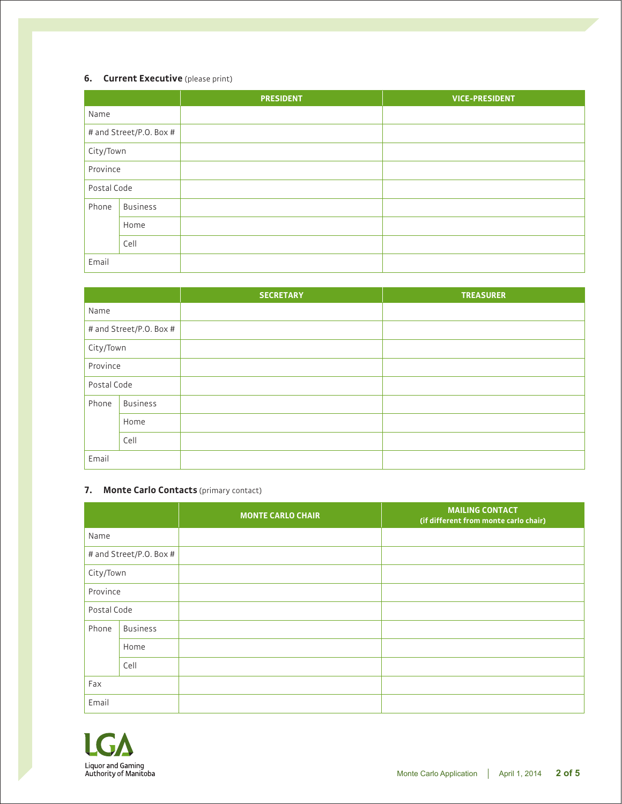## **6. Current Executive** (please print)

|             |                         | <b>PRESIDENT</b> | <b>VICE-PRESIDENT</b> |
|-------------|-------------------------|------------------|-----------------------|
| Name        |                         |                  |                       |
|             | # and Street/P.O. Box # |                  |                       |
| City/Town   |                         |                  |                       |
| Province    |                         |                  |                       |
| Postal Code |                         |                  |                       |
| Phone       | <b>Business</b>         |                  |                       |
|             | Home                    |                  |                       |
|             | Cell                    |                  |                       |
| Email       |                         |                  |                       |

|             |                         | <b>SECRETARY</b> | <b>TREASURER</b> |
|-------------|-------------------------|------------------|------------------|
| Name        |                         |                  |                  |
|             | # and Street/P.O. Box # |                  |                  |
| City/Town   |                         |                  |                  |
| Province    |                         |                  |                  |
| Postal Code |                         |                  |                  |
| Phone       | <b>Business</b>         |                  |                  |
|             | Home                    |                  |                  |
|             | Cell                    |                  |                  |
| Email       |                         |                  |                  |

# **7. Monte Carlo Contacts** (primary contact)

|             |                         | <b>MONTE CARLO CHAIR</b> | <b>MAILING CONTACT</b><br>(if different from monte carlo chair) |
|-------------|-------------------------|--------------------------|-----------------------------------------------------------------|
| Name        |                         |                          |                                                                 |
|             | # and Street/P.O. Box # |                          |                                                                 |
| City/Town   |                         |                          |                                                                 |
| Province    |                         |                          |                                                                 |
| Postal Code |                         |                          |                                                                 |
| Phone       | <b>Business</b>         |                          |                                                                 |
|             | Home                    |                          |                                                                 |
|             | Cell                    |                          |                                                                 |
| Fax         |                         |                          |                                                                 |
| Email       |                         |                          |                                                                 |

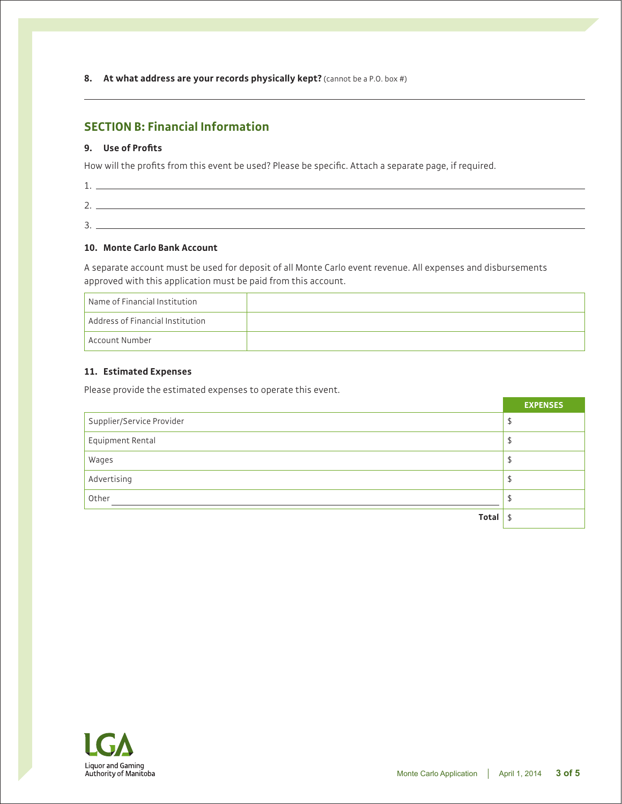**8. At what address are your records physically kept?** (cannot be a P.O. box #)

# **SECTION B: Financial Information**

## **9. Use of Profits**

How will the profits from this event be used? Please be specific. Attach a separate page, if required.

| $\overline{\phantom{0}}$ |  |
|--------------------------|--|
| $\overline{\phantom{0}}$ |  |

## **10. Monte Carlo Bank Account**

A separate account must be used for deposit of all Monte Carlo event revenue. All expenses and disbursements approved with this application must be paid from this account.

| Name of Financial Institution    |  |
|----------------------------------|--|
| Address of Financial Institution |  |
| Account Number                   |  |

## **11. Estimated Expenses**

Please provide the estimated expenses to operate this event.

|                           | <b>EXPENSES</b> |
|---------------------------|-----------------|
| Supplier/Service Provider | \$              |
| Equipment Rental          | ⊅               |
| Wages                     | \$              |
| Advertising               | \$              |
| Other                     | D               |
| Total                     | \$              |

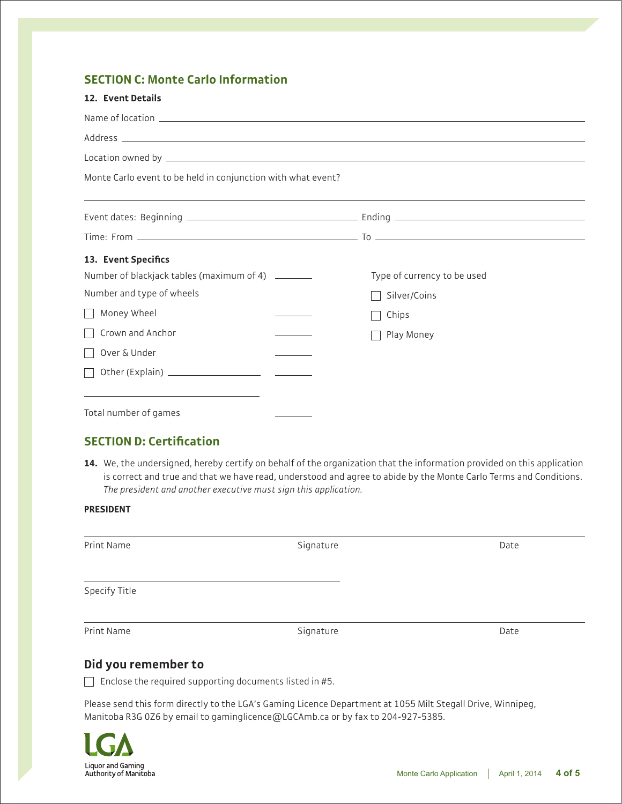# **SECTION C: Monte Carlo Information**

| 12. Event Details                                                                                                                                                                                                                                      |                                                                                                                                                                                                                                     |
|--------------------------------------------------------------------------------------------------------------------------------------------------------------------------------------------------------------------------------------------------------|-------------------------------------------------------------------------------------------------------------------------------------------------------------------------------------------------------------------------------------|
|                                                                                                                                                                                                                                                        |                                                                                                                                                                                                                                     |
|                                                                                                                                                                                                                                                        |                                                                                                                                                                                                                                     |
|                                                                                                                                                                                                                                                        | Location owned by <b>Executive Construction</b> and the construction of the construction of the construction of the construction of the construction of the construction of the construction of the construction of the constructio |
| Monte Carlo event to be held in conjunction with what event?                                                                                                                                                                                           |                                                                                                                                                                                                                                     |
|                                                                                                                                                                                                                                                        | ,我们也不会有什么。""我们的人,我们也不会有什么?""我们的人,我们也不会有什么?""我们的人,我们也不会有什么?""我们的人,我们也不会有什么?""我们的人                                                                                                                                                    |
|                                                                                                                                                                                                                                                        |                                                                                                                                                                                                                                     |
| 13. Event Specifics                                                                                                                                                                                                                                    |                                                                                                                                                                                                                                     |
| Number of blackjack tables (maximum of 4) ________                                                                                                                                                                                                     | Type of currency to be used                                                                                                                                                                                                         |
| Number and type of wheels                                                                                                                                                                                                                              | Silver/Coins                                                                                                                                                                                                                        |
| Money Wheel                                                                                                                                                                                                                                            | Chips                                                                                                                                                                                                                               |
| Crown and Anchor                                                                                                                                                                                                                                       | Play Money                                                                                                                                                                                                                          |
| Over & Under                                                                                                                                                                                                                                           |                                                                                                                                                                                                                                     |
|                                                                                                                                                                                                                                                        |                                                                                                                                                                                                                                     |
| the control of the control of the control of the control of the control of the control of the control of the control of the control of the control of the control of the control of the control of the control of the control<br>Total number of games |                                                                                                                                                                                                                                     |

# **SECTION D: Certification**

**14.** We, the undersigned, hereby certify on behalf of the organization that the information provided on this application is correct and true and that we have read, understood and agree to abide by the Monte Carlo Terms and Conditions. *The president and another executive must sign this application.*

## **PRESIDENT**

| Print Name    | Signature | Date |
|---------------|-----------|------|
|               |           |      |
|               |           |      |
| Specify Title |           |      |
|               |           |      |
| Print Name    | Signature | Date |

# **Did you remember to**

 $\Box$  Enclose the required supporting documents listed in #5.

Please send this form directly to the LGA's Gaming Licence Department at 1055 Milt Stegall Drive, Winnipeg, Manitoba R3G 0Z6 by email to gaminglicence@LGCAmb.ca or by fax to 204-927-5385.